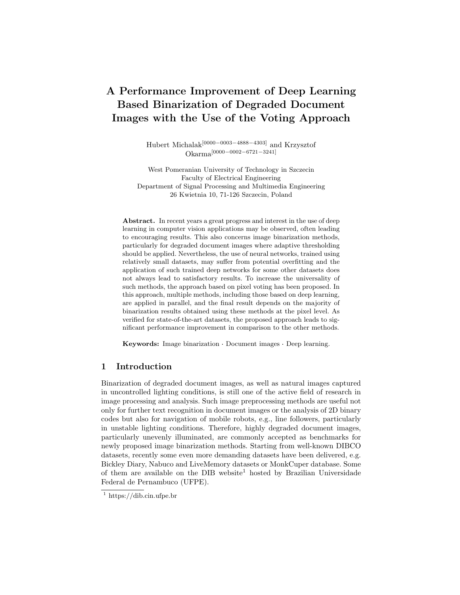# A Performance Improvement of Deep Learning Based Binarization of Degraded Document Images with the Use of the Voting Approach

Hubert Michalak[0000−0003−4888−4303] and Krzysztof Okarma[0000−0002−6721−3241]

West Pomeranian University of Technology in Szczecin Faculty of Electrical Engineering Department of Signal Processing and Multimedia Engineering 26 Kwietnia 10, 71-126 Szczecin, Poland

Abstract. In recent years a great progress and interest in the use of deep learning in computer vision applications may be observed, often leading to encouraging results. This also concerns image binarization methods, particularly for degraded document images where adaptive thresholding should be applied. Nevertheless, the use of neural networks, trained using relatively small datasets, may suffer from potential overfitting and the application of such trained deep networks for some other datasets does not always lead to satisfactory results. To increase the universality of such methods, the approach based on pixel voting has been proposed. In this approach, multiple methods, including those based on deep learning, are applied in parallel, and the final result depends on the majority of binarization results obtained using these methods at the pixel level. As verified for state-of-the-art datasets, the proposed approach leads to significant performance improvement in comparison to the other methods.

Keywords: Image binarization · Document images · Deep learning.

# 1 Introduction

Binarization of degraded document images, as well as natural images captured in uncontrolled lighting conditions, is still one of the active field of research in image processing and analysis. Such image preprocessing methods are useful not only for further text recognition in document images or the analysis of 2D binary codes but also for navigation of mobile robots, e.g., line followers, particularly in unstable lighting conditions. Therefore, highly degraded document images, particularly unevenly illuminated, are commonly accepted as benchmarks for newly proposed image binarization methods. Starting from well-known DIBCO datasets, recently some even more demanding datasets have been delivered, e.g. Bickley Diary, Nabuco and LiveMemory datasets or MonkCuper database. Some of them are available on the DIB website<sup>1</sup> hosted by Brazilian Universidade Federal de Pernambuco (UFPE).

 $1 \text{ https://dib.cin.ufpe.br}$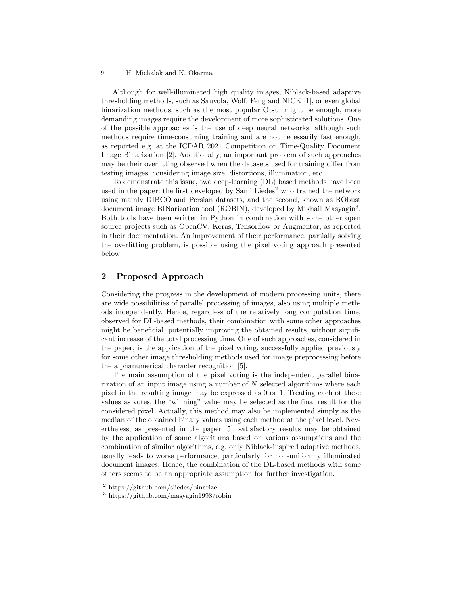### H. Michalak and K. Okarma 9

Although for well-illuminated high quality images, Niblack-based adaptive thresholding methods, such as Sauvola, Wolf, Feng and NICK [1], or even global binarization methods, such as the most popular Otsu, might be enough, more demanding images require the development of more sophisticated solutions. One of the possible approaches is the use of deep neural networks, although such methods require time-consuming training and are not necessarily fast enough, as reported e.g. at the ICDAR 2021 Competition on Time-Quality Document Image Binarization [2]. Additionally, an important problem of such approaches may be their overfitting observed when the datasets used for training differ from testing images, considering image size, distortions, illumination, etc.

To demonstrate this issue, two deep-learning (DL) based methods have been used in the paper: the first developed by Sami Liedes<sup>2</sup> who trained the network using mainly DIBCO and Persian datasets, and the second, known as RObust document image BINarization tool (ROBIN), developed by Mikhail Masyagin<sup>3</sup>. Both tools have been written in Python in combination with some other open source projects such as OpenCV, Keras, Tensorflow or Augmentor, as reported in their documentation. An improvement of their performance, partially solving the overfitting problem, is possible using the pixel voting approach presented below.

# 2 Proposed Approach

Considering the progress in the development of modern processing units, there are wide possibilities of parallel processing of images, also using multiple methods independently. Hence, regardless of the relatively long computation time, observed for DL-based methods, their combination with some other approaches might be beneficial, potentially improving the obtained results, without significant increase of the total processing time. One of such approaches, considered in the paper, is the application of the pixel voting, successfully applied previously for some other image thresholding methods used for image preprocessing before the alphanumerical character recognition [5].

The main assumption of the pixel voting is the independent parallel binarization of an input image using a number of  $N$  selected algorithms where each pixel in the resulting image may be expressed as 0 or 1. Treating each ot these values as votes, the "winning" value may be selected as the final result for the considered pixel. Actually, this method may also be implemented simply as the median of the obtained binary values using each method at the pixel level. Nevertheless, as presented in the paper [5], satisfactory results may be obtained by the application of some algorithms based on various assumptions and the combination of similar algorithms, e.g. only Niblack-inspired adaptive methods, usually leads to worse performance, particularly for non-uniformly illuminated document images. Hence, the combination of the DL-based methods with some others seems to be an appropriate assumption for further investigation.

<sup>2</sup> https://github.com/sliedes/binarize

<sup>3</sup> https://github.com/masyagin1998/robin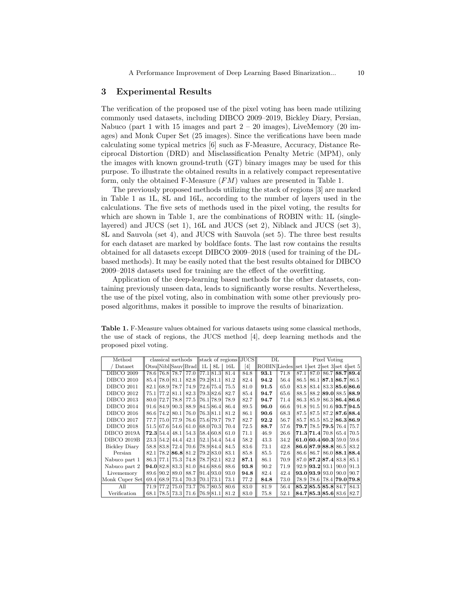## 3 Experimental Results

The verification of the proposed use of the pixel voting has been made utilizing commonly used datasets, including DIBCO 2009–2019, Bickley Diary, Persian, Nabuco (part 1 with 15 images and part  $2 - 20$  images), LiveMemory (20 images) and Monk Cuper Set (25 images). Since the verifications have been made calculating some typical metrics [6] such as F-Measure, Accuracy, Distance Reciprocal Distortion (DRD) and Misclassification Penalty Metric (MPM), only the images with known ground-truth (GT) binary images may be used for this purpose. To illustrate the obtained results in a relatively compact representative form, only the obtained F-Measure (FM) values are presented in Table 1.

The previously proposed methods utilizing the stack of regions [3] are marked in Table 1 as 1L, 8L and 16L, according to the number of layers used in the calculations. The five sets of methods used in the pixel voting, the results for which are shown in Table 1, are the combinations of ROBIN with:  $1L$  (singlelayered) and JUCS (set 1), 16L and JUCS (set 2), Niblack and JUCS (set 3), 8L and Sauvola (set 4), and JUCS with Sauvola (set 5). The three best results for each dataset are marked by boldface fonts. The last row contains the results obtained for all datasets except DIBCO 2009–2018 (used for training of the DLbased methods). It may be easily noted that the best results obtained for DIBCO 2009–2018 datasets used for training are the effect of the overfitting.

Application of the deep-learning based methods for the other datasets, containing previously unseen data, leads to significantly worse results. Nevertheless, the use of the pixel voting, also in combination with some other previously proposed algorithms, makes it possible to improve the results of binarization.

Table 1. F-Measure values obtained for various datasets using some classical methods, the use of stack of regions, the JUCS method [4], deep learning methods and the proposed pixel voting.

| Method               | classical methods   stack of regions  JUCS |  |                |                               |  |    |      |      | $_{\rm DL}$                                |      | Pixel Voting |                          |  |                                                     |                                                                         |
|----------------------|--------------------------------------------|--|----------------|-------------------------------|--|----|------|------|--------------------------------------------|------|--------------|--------------------------|--|-----------------------------------------------------|-------------------------------------------------------------------------|
| Dataset              |                                            |  |                | Otsu Nibl Sauv Brad   1L      |  | 8L | 16L  | [4]  | ROBIN Liedes set 1 set 2 set 3 set 4 set 5 |      |              |                          |  |                                                     |                                                                         |
| <b>DIBCO 2009</b>    |                                            |  | 78.6 76.8 78.7 | 77.0   77.1   81.3            |  |    | 81.4 | 84.8 | 93.1                                       | 71.8 |              |                          |  |                                                     | 87.1 87.0 86.7 88.7 89.4                                                |
| <b>DIBCO 2010</b>    |                                            |  | 85.4 78.0 81.1 | 82.8 79.2 81.1                |  |    | 81.2 | 82.4 | 94.2                                       | 56.4 | 86.5         |                          |  | $86.1$   87.1   86.7   86.5                         |                                                                         |
| <b>DIBCO 2011</b>    | 82.1                                       |  | 68.9 78.7      | 74.9 72.6 75.4                |  |    | 75.5 | 81.0 | 91.5                                       | 65.0 | 83.8         |                          |  |                                                     | $83.4 \,   \, 83.3 \,   \, 85.6 \,   \, 86.6 \,   \,$                   |
| <b>DIBCO 2012</b>    |                                            |  | 75.1 77.2 81.1 | 82.3 79.3 82.6                |  |    | 82.7 | 85.4 | 94.7                                       | 65.6 | 88.5         |                          |  | 88.2 89.0 88.5 88.9                                 |                                                                         |
| <b>DIBCO 2013</b>    |                                            |  | 80.0 72.7 78.8 | 77.5 76.1 78.9                |  |    | 78.9 | 82.7 | 94.7                                       | 71.4 |              |                          |  |                                                     | 86.3 85.9 86.3 86.4 86.6                                                |
| <b>DIBCO 2014</b>    |                                            |  | 91.6 84.9 90.3 | 88.9   84.5   86.4            |  |    | 86.4 | 89.5 | 96.0                                       | 66.6 | 91.8         | 91.5                     |  |                                                     | $91.6$   $93.7$   $94.5$                                                |
| <b>DIBCO 2016</b>    |                                            |  | 86.6 74.2 80.1 | 76.0   76.3   81.1            |  |    | 81.2 | 86.1 | 90.6                                       | 68.3 | 87.5         | 87.5                     |  |                                                     | $87.2$   87.6   88.4                                                    |
| <b>DIBCO 2017</b>    |                                            |  | 77.7 75.0 77.9 | 76.6 75.6 79.7                |  |    | 79.7 | 82.7 | 92.2                                       | 56.7 | 85.7         | 85.5                     |  | 85.2 86.3 86.9                                      |                                                                         |
| <b>DIBCO 2018</b>    |                                            |  | 51.5 67.6 54.6 | 61.0 68.0 70.3                |  |    | 70.4 | 72.5 | 88.7                                       | 57.6 |              |                          |  | 79.7 78.5 79.5 76.4 75.7                            |                                                                         |
| DIBCO 2019A          |                                            |  | 72.3 54.4 48.1 | 54.3 58.4 60.8                |  |    | 61.0 | 71.1 | 46.9                                       | 26.6 |              |                          |  | $71.3$ $71.4$ $70.8$ $65.4$                         | 70.5                                                                    |
| <b>DIBCO 2019B</b>   |                                            |  | 23.3 54.2 44.4 | 42.1 52.1 54.4                |  |    | 54.4 | 58.2 | 43.3                                       | 34.2 |              |                          |  | 61.0 60.4 60.3 59.0                                 | 59.6                                                                    |
| <b>Bickley Diary</b> |                                            |  | 58.8 83.8 72.4 | 70.6 178.9 84.4               |  |    | 84.5 | 83.6 | 73.1                                       | 42.8 |              |                          |  | 86.6 87.9 88.8 86.5 83.2                            |                                                                         |
| Persian              |                                            |  |                | 82.1 78.2 86.8 81.2 79.2 83.0 |  |    | 83.1 | 85.8 | 85.5                                       | 72.6 |              |                          |  |                                                     | 86.6 86.7 86.0 88.1 88.4                                                |
| Nabuco part 1        |                                            |  | 86.3 77.1 75.3 | 74.8 78.7 82.1                |  |    | 82.2 | 87.1 | 86.1                                       | 70.9 |              |                          |  | $87.0 \,   87.2 \,   87.4 \,   83.8 \,   85.1 \,  $ |                                                                         |
| Nabuco part 2        |                                            |  | 94.0 82.8 83.3 | 81.0 84.6 88.6                |  |    | 88.6 | 93.8 | 90.2                                       | 71.9 |              | $92.9$   $93.2$   $93.1$ |  | 90.0                                                | 91.3                                                                    |
| Livememory           |                                            |  | 89.6 90.2 89.0 | 88.7   91.4   93.0            |  |    | 93.0 | 94.8 | 82.4                                       | 42.4 |              |                          |  |                                                     | $\vert 93.0 \vert 93.9 \vert 93.0 \vert 90.0 \vert 90.7 \vert$          |
| Monk Cuper Set       |                                            |  | 69.4 68.9 73.4 | 70.3 70.1 73.1                |  |    | 73.1 | 77.2 | 84.8                                       | 73.0 | 78.9         |                          |  | 78.6 78.4 79.0 79.8                                 |                                                                         |
| All                  | 71.9                                       |  | 77.2 75.0      | 73.7 76.7 80.5                |  |    | 80.6 | 83.0 | 81.9                                       | 56.4 |              |                          |  | 85.285.585.884.784.3                                |                                                                         |
| Verification         |                                            |  | 68.1 78.5 73.3 | 71.6 76.9 81.1                |  |    | 81.2 | 83.0 | 75.8                                       | 52.1 |              |                          |  |                                                     | $\left  84.7 \right  85.3 \left  85.6 \right  83.6 \left  82.7 \right $ |